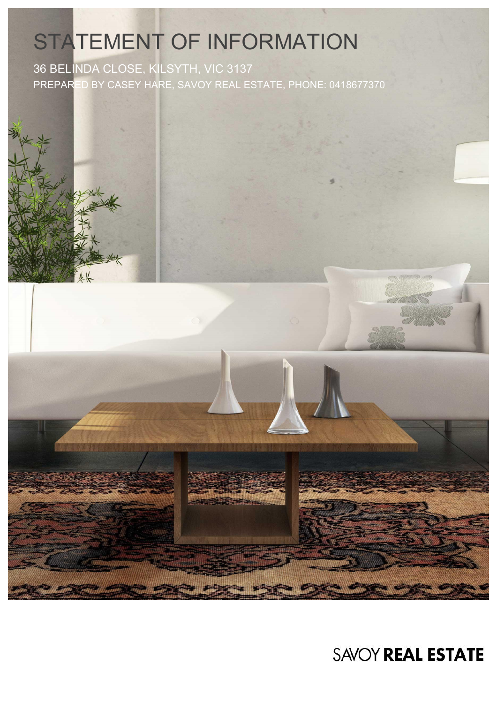# STATEMENT OF INFORMATION

36 BELINDA CLOSE, KILSYTH, VIC 3137 PREPARED BY CASEY HARE, SAVOY REAL ESTATE, PHONE: 0418677370



**SAVOY REAL ESTATE**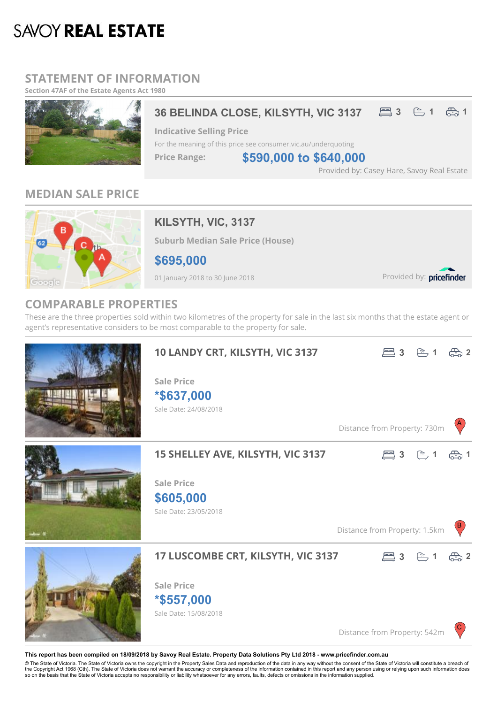## **SAVOY REAL ESTATE**

## **STATEMENT OF INFORMATION**

**Section 47AF of the Estate Agents Act 1980**



Provided by: Casey Hare, Savoy Real Estate

## **MEDIAN SALE PRICE**



## **KILSYTH, VIC, 3137**

**Suburb Median Sale Price (House)**

**\$695,000**

01 January 2018 to 30 June 2018

Provided by: pricefinder

### **COMPARABLE PROPERTIES**

These are the three properties sold within two kilometres of the property for sale in the last six months that the estate agent or agent's representative considers to be most comparable to the property for sale.



**This report has been compiled on 18/09/2018 by Savoy Real Estate. Property Data Solutions Pty Ltd 2018 - www.pricefinder.com.au**

© The State of Victoria. The State of Victoria owns the copyright in the Property Sales Data and reproduction of the data in any way without the consent of the State of Victoria will constitute a breach of<br>the Copyright Ac so on the basis that the State of Victoria accepts no responsibility or liability whatsoever for any errors, faults, defects or omissions in the information supplied.